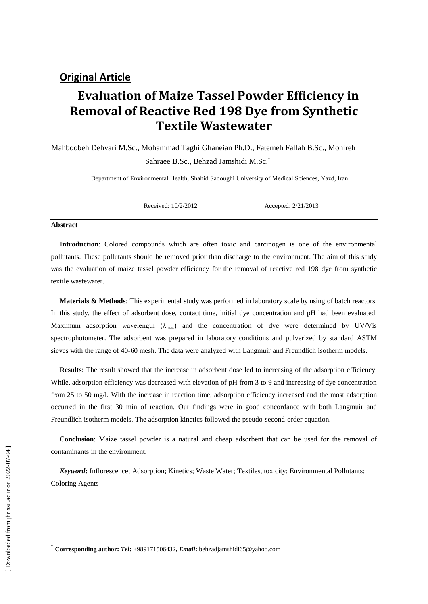# **Evaluation of Maize Tassel Powder Efficiency in Removal of Reactive Red 198 Dye from Synthetic Textile Wastewater**

Mahboobeh Dehvari M.Sc., Mohammad Taghi Ghaneian Ph.D., Fatemeh Fallah B.Sc., Monireh Sahraee B.Sc., Behzad Jamshidi M.Sc.

Department of Environmental Health, Shahid Sadoughi University of Medical Sciences, Yazd, Iran.

Received: 10/2/2012 Accepted: 2/21/2013

#### **Abstract**

**Introduction**: Colored compounds which are often toxic and carcinogen is one of the environmental pollutants. These pollutants should be removed prior than discharge to the environment. The aim of this study was the evaluation of maize tassel powder efficiency for the removal of reactive red 198 dye from synthetic textile wastewater.

**Materials & Methods**: This experimental study was performed in laboratory scale by using of batch reactors. In this study, the effect of adsorbent dose, contact time, initial dye concentration and pH had been evaluated. Maximum adsorption wavelength  $(\lambda_{\text{max}})$  and the concentration of dye were determined by UV/Vis spectrophotometer. The adsorbent was prepared in laboratory conditions and pulverized by standard ASTM sieves with the range of 40-60 mesh. The data were analyzed with Langmuir and Freundlich isotherm models.

**Results**: The result showed that the increase in adsorbent dose led to increasing of the adsorption efficiency. While, adsorption efficiency was decreased with elevation of pH from 3 to 9 and increasing of dye concentration from 25 to 50 mg/l. With the increase in reaction time, adsorption efficiency increased and the most adsorption occurred in the first 30 min of reaction. Our findings were in good concordance with both Langmuir and Freundlich isotherm models. The adsorption kinetics followed the pseudo-second-order equation.

**Conclusion**: Maize tassel powder is a natural and cheap adsorbent that can be used for the removal of contaminants in the environment.

*Keyword***:** Inflorescence; Adsorption; Kinetics; Waste Water; Textiles, toxicity; Environmental Pollutants; Coloring Agents

 $\overline{\phantom{a}}$ 

<sup>\*</sup> **Corresponding author:** *Tel***:** +989171506432**,** *Email***:** behzadjamshidi65@yahoo.com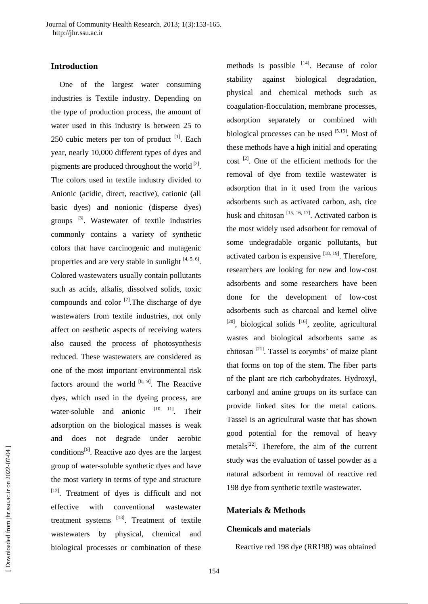## **Introduction**

One of the largest water consuming industries is Textile industry. Depending on the type of production process, the amount of water used in this industry is between 25 to 250 cubic meters per ton of product  $[1]$ . Each year, nearly 10,000 different types of dyes and pigments are produced throughout the world<sup>[2]</sup>. The colors used in textile industry divided to Anionic (acidic, direct, reactive), cationic (all basic dyes) and nonionic (disperse dyes) groups [3]. Wastewater of textile industries commonly contains a variety of synthetic colors that have carcinogenic and mutagenic properties and are very stable in sunlight  $[4, 5, 6]$ . Colored wastewaters usually contain pollutants such as acids, alkalis, dissolved solids, toxic compounds and color  $\left[7\right]$ . The discharge of dye wastewaters from textile industries, not only affect on aesthetic aspects of receiving waters also caused the process of photosynthesis reduced. These wastewaters are considered as one of the most important environmental risk factors around the world  $[8, 9]$ . The Reactive dyes, which used in the dyeing process, are water-soluble and anionic  $[10, 11]$ . Their adsorption on the biological masses is weak and does not degrade under aerobic conditions<sup>[6]</sup>. Reactive azo dyes are the largest group of water-soluble synthetic dyes and have the most variety in terms of type and structure [12]. Treatment of dyes is difficult and not effective with conventional wastewater treatment systems  $^{[13]}$ . Treatment of textile wastewaters by physical, chemical and biological processes or combination of these

methods is possible  $[14]$ . Because of color stability against biological degradation, physical and chemical methods such as coagulation-flocculation, membrane processes, adsorption separately or combined with biological processes can be used [5.15]. Most of these methods have a high initial and operating  $cost$ <sup>[2]</sup>. One of the efficient methods for the removal of dye from textile wastewater is adsorption that in it used from the various adsorbents such as activated carbon, ash, rice husk and chitosan  $[15, 16, 17]$ . Activated carbon is the most widely used adsorbent for removal of some undegradable organic pollutants, but activated carbon is expensive  $[18, 19]$ . Therefore, researchers are looking for new and low-cost adsorbents and some researchers have been done for the development of low-cost adsorbents such as charcoal and kernel olive  $[20]$ , biological solids  $[16]$ , zeolite, agricultural wastes and biological adsorbents same as chitosan  $^{[21]}$ . Tassel is corymbs' of maize plant that forms on top of the stem. The fiber parts of the plant are rich carbohydrates. Hydroxyl, carbonyl and amine groups on its surface can provide linked sites for the metal cations. Tassel is an agricultural waste that has shown good potential for the removal of heavy metals $[22]$ . Therefore, the aim of the current study was the evaluation of tassel powder as a natural adsorbent in removal of reactive red 198 dye from synthetic textile wastewater.

## **Materials & Methods**

### **Chemicals and materials**

Reactive red 198 dye (RR198) was obtained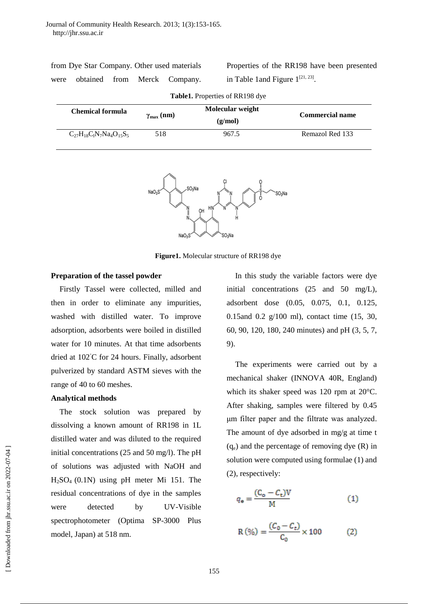| from Dye Star Company. Other used materials |  |  |  |                                   |  |  |  |
|---------------------------------------------|--|--|--|-----------------------------------|--|--|--|
|                                             |  |  |  | were obtained from Merck Company. |  |  |  |

|                                        |  |  | Properties of the RR198 have been presented |
|----------------------------------------|--|--|---------------------------------------------|
| in Table 1 and Figure $1^{[21, 23]}$ . |  |  |                                             |

| <b>Table1.</b> Properties of RR198 dye |                                             |         |                        |  |  |  |
|----------------------------------------|---------------------------------------------|---------|------------------------|--|--|--|
| Chemical formula                       | Molecular weight<br>$\gamma_{\rm max}$ (nm) |         | <b>Commercial name</b> |  |  |  |
|                                        |                                             | (g/mol) |                        |  |  |  |
| $C_{27}H_{18}C_1N_7Na_4O_{15}S_5$      | 518                                         | 967.5   | Remazol Red 133        |  |  |  |



**Figure1.** Molecular structure of RR198 dye

#### **Preparation of the tassel powder**

Firstly Tassel were collected, milled and then in order to eliminate any impurities, washed with distilled water. To improve adsorption, adsorbents were boiled in distilled water for 10 minutes. At that time adsorbents dried at 102◦C for 24 hours. Finally, adsorbent pulverized by standard ASTM sieves with the range of 40 to 60 meshes.

#### **Analytical methods**

The stock solution was prepared by dissolving a known amount of RR198 in 1L distilled water and was diluted to the required initial concentrations (25 and 50 mg/l). The pH of solutions was adjusted with NaOH and H2SO4 (0.1N) using pH meter Mi 151. The residual concentrations of dye in the samples were detected by UV-Visible spectrophotometer (Optima SP-3000 Plus model, Japan) at 518 nm.

In this study the variable factors were dye initial concentrations (25 and 50 mg/L), adsorbent dose (0.05, 0.075, 0.1, 0.125, 0.15and 0.2 g/100 ml), contact time (15, 30, 60, 90, 120, 180, 240 minutes) and pH (3, 5, 7, 9).

The experiments were carried out by a mechanical shaker (INNOVA 40R, England) which its shaker speed was 120 rpm at 20°C. After shaking, samples were filtered by 0.45 μm filter paper and the filtrate was analyzed. The amount of dye adsorbed in mg/g at time t  $(q_e)$  and the percentage of removing dye  $(R)$  in solution were computed using formulae (1) and (2), respectively:

$$
q_{\mathbf{e}} = \frac{(C_{\mathbf{o}} - C_{\mathbf{t}}) \mathbf{V}}{\mathbf{M}}
$$
 (1)

$$
R(\%) = \frac{(C_0 - C_t)}{C_0} \times 100
$$
 (2)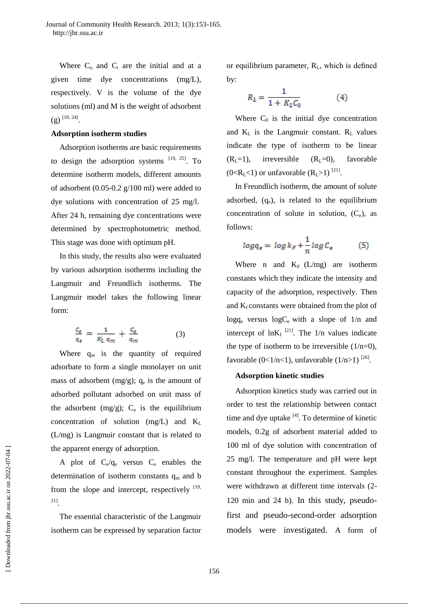Where  $C_0$  and  $C_t$  are the initial and at a given time dye concentrations (mg/L), respectively. V is the volume of the dye solutions (ml) and M is the weight of adsorbent  $(g)$ <sup>[19, 24]</sup>.

#### **Adsorption isotherm studies**

Adsorption isotherms are basic requirements to design the adsorption systems  $[19, 25]$ . To determine isotherm models, different amounts of adsorbent (0.05-0.2 g/100 ml) were added to dye solutions with concentration of 25 mg/l. After 24 h, remaining dye concentrations were determined by spectrophotometric method. This stage was done with optimum pH.

In this study, the results also were evaluated by various adsorption isotherms including the Langmuir and Freundlich isotherms. The Langmuir model takes the following linear form:

$$
\frac{c_{\varepsilon}}{q_{\varepsilon}} = \frac{1}{K_L q_m} + \frac{c_{\varepsilon}}{q_m} \tag{3}
$$

Where  $q_m$  is the quantity of required adsorbate to form a single monolayer on unit mass of adsorbent  $(mg/g)$ ;  $q_e$  is the amount of adsorbed pollutant adsorbed on unit mass of the adsorbent  $(mg/g)$ ;  $C_e$  is the equilibrium concentration of solution  $(mg/L)$  and  $K_L$ (L/mg) is Langmuir constant that is related to the apparent energy of adsorption.

A plot of  $C_e/q_e$  versus  $C_e$  enables the determination of isotherm constants  $q_m$  and b from the slope and intercept, respectively  $[19,$ 21] .

The essential characteristic of the Langmuir isotherm can be expressed by separation factor

or equilibrium parameter, RL, which is defined by:

$$
R_L = \frac{1}{1 + K_L C_0} \tag{4}
$$

Where  $C_0$  is the initial dye concentration and  $K_L$  is the Langmuir constant.  $R_L$  values indicate the type of isotherm to be linear  $(R<sub>L</sub>=1)$ , irreversible  $(R<sub>L</sub>=0)$ , favorable  $(0 < R_L < 1)$  or unfavorable  $(R_L > 1)$ <sup>[21]</sup>.

In Freundlich isotherm, the amount of solute adsorbed,  $(q_e)$ , is related to the equilibrium concentration of solute in solution,  $(C_e)$ , as follows:

$$
log q_{\epsilon} = log k_F + \frac{1}{n} log C_{\epsilon}
$$
 (5)

Where n and  $K_F$  (L/mg) are isotherm constants which they indicate the intensity and capacity of the adsorption, respectively. Then and  $K_f$  constants were obtained from the plot of  $log q_e$  versus  $log C_e$  with a slope of  $1/n$  and intercept of  $ln K_f$ <sup>[21]</sup>. The 1/n values indicate the type of isotherm to be irreversible  $(1/n=0)$ , favorable  $(0<1/n<1)$ , unfavorable  $(1/n>1)$ <sup>[26]</sup>.

#### **Adsorption kinetic studies**

Adsorption kinetics study was carried out in order to test the relationship between contact time and dye uptake  $[4]$ . To determine of kinetic models, 0.2g of adsorbent material added to 100 ml of dye solution with concentration of 25 mg/l. The temperature and pH were kept constant throughout the experiment. Samples were withdrawn at different time intervals (2- 120 min and 24 h). In this study, pseudofirst and pseudo-second-order adsorption models were investigated. A form of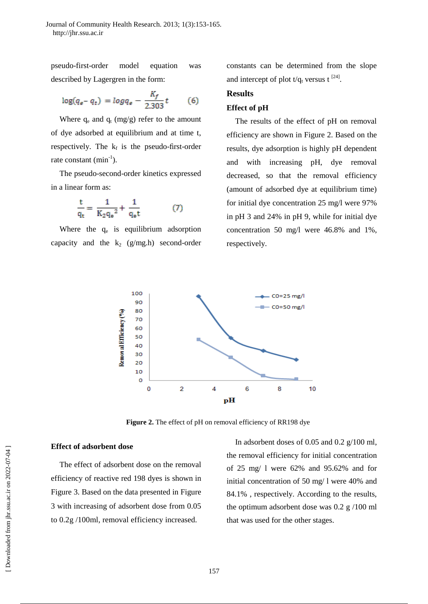pseudo-first-order model equation was described by Lagergren in the form:

$$
\log(q_{e}-q_{t}) = \log q_{e} - \frac{K_{f}}{2.303}t \tag{6}
$$

Where  $q_e$  and  $q_t$  (mg/g) refer to the amount of dye adsorbed at equilibrium and at time t, respectively. The  $k_f$  is the pseudo-first-order rate constant  $(min^{-1})$ .

The pseudo-second-order kinetics expressed in a linear form as:

$$
\frac{t}{q_t} = \frac{1}{K_2 q_e^2} + \frac{1}{q_e t} \tag{7}
$$

Where the  $q_e$  is equilibrium adsorption capacity and the  $k_2$  (g/mg.h) second-order

constants can be determined from the slope and intercept of plot  $t/q_t$  versus t<sup>[24]</sup>.

## **Results**

#### **Effect of pH**

The results of the effect of pH on removal efficiency are shown in Figure 2. Based on the results, dye adsorption is highly pH dependent and with increasing pH, dye removal decreased, so that the removal efficiency (amount of adsorbed dye at equilibrium time) for initial dye concentration 25 mg/l were 97% in pH 3 and 24% in pH 9, while for initial dye concentration 50 mg/l were 46.8% and 1%, respectively.



**Figure 2.** The effect of pH on removal efficiency of RR198 dye

#### **Effect of adsorbent dose**

The effect of adsorbent dose on the removal efficiency of reactive red 198 dyes is shown in Figure 3. Based on the data presented in Figure 3 with increasing of adsorbent dose from 0.05 to 0.2g /100ml, removal efficiency increased.

In adsorbent doses of 0.05 and 0.2 g/100 ml, the removal efficiency for initial concentration of 25 mg/ l were 62% and 95.62% and for initial concentration of 50 mg/ l were 40% and 84.1% , respectively. According to the results, the optimum adsorbent dose was 0.2 g /100 ml that was used for the other stages.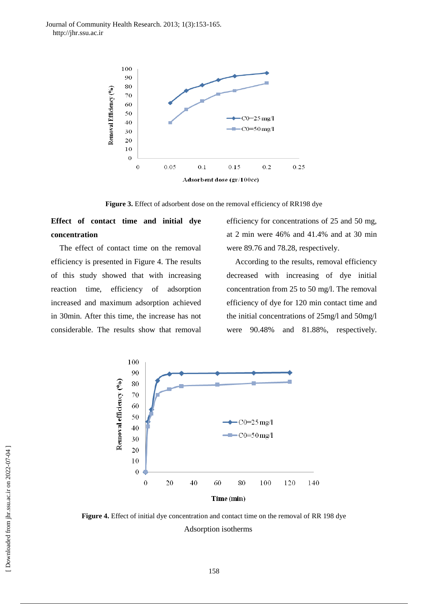Journal of Community Health Research. 2013; 1(3):153-165. http://jhr.ssu.ac.ir



**Figure 3.** Effect of adsorbent dose on the removal efficiency of RR198 dye

## **Effect of contact time and initial dye concentration**

The effect of contact time on the removal efficiency is presented in Figure 4. The results of this study showed that with increasing reaction time, efficiency of adsorption increased and maximum adsorption achieved in 30min. After this time, the increase has not considerable. The results show that removal

efficiency for concentrations of 25 and 50 mg, at 2 min were 46% and 41.4% and at 30 min were 89.76 and 78.28, respectively.

According to the results, removal efficiency decreased with increasing of dye initial concentration from 25 to 50 mg/l. The removal efficiency of dye for 120 min contact time and the initial concentrations of 25mg/l and 50mg/l were 90.48% and 81.88%, respectively.



**Figure 4.** Effect of initial dye concentration and contact time on the removal of RR 198 dye Adsorption isotherms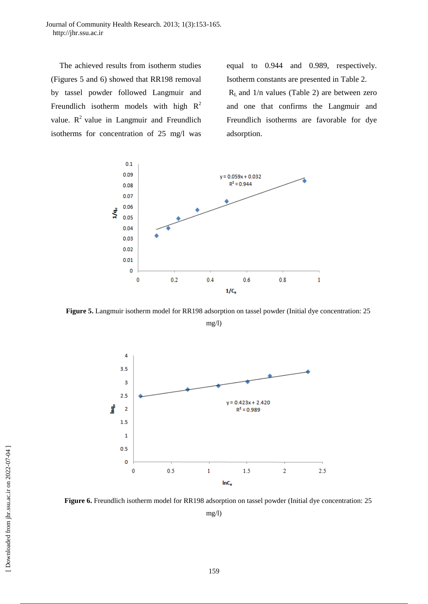Journal of Community Health Research. 2013; 1(3):153-165. http://jhr.ssu.ac.ir

The achieved results from isotherm studies (Figures 5 and 6) showed that RR198 removal by tassel powder followed Langmuir and Freundlich isotherm models with high  $R^2$ value.  $R^2$  value in Langmuir and Freundlich isotherms for concentration of 25 mg/l was

equal to 0.944 and 0.989, respectively. Isotherm constants are presented in Table 2.  $R<sub>L</sub>$  and 1/n values (Table 2) are between zero and one that confirms the Langmuir and Freundlich isotherms are favorable for dye adsorption.



**Figure 5.** Langmuir isotherm model for RR198 adsorption on tassel powder (Initial dye concentration: 25

mg/l)



**Figure 6.** Freundlich isotherm model for RR198 adsorption on tassel powder (Initial dye concentration: 25 mg/l)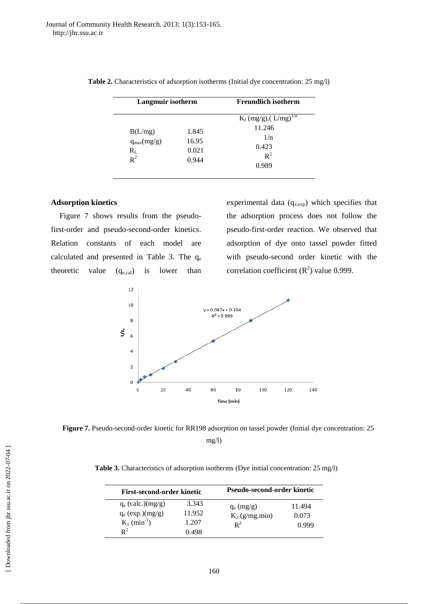| Langmuir isotherm                              |                                  | <b>Freundlich isotherm</b>                     |  |
|------------------------------------------------|----------------------------------|------------------------------------------------|--|
|                                                |                                  | $K_f (mg/g)$ . (L/mg) <sup>1/n</sup><br>11.246 |  |
| B(L/mg)<br>$q_{max}(mg/g)$<br>$R_{L}$<br>$R^2$ | 1.845<br>16.95<br>0.021<br>0.944 | 1/n<br>0.423<br>$R^2$<br>0.989                 |  |

|  | Table 2. Characteristics of adsorption isotherms (Initial dye concentration: 25 mg/l) |  |  |  |  |  |  |
|--|---------------------------------------------------------------------------------------|--|--|--|--|--|--|
|--|---------------------------------------------------------------------------------------|--|--|--|--|--|--|

## **Adsorption kinetics**

Figure 7 shows results from the pseudofirst-order and pseudo-second-order kinetics. Relation constants of each model are calculated and presented in Table 3. The  $q_e$ theoretic value  $(q_{e,cal})$  is lower than experimental data  $(q_{e,exp})$  which specifies that the adsorption process does not follow the pseudo-first-order reaction. We observed that adsorption of dye onto tassel powder fitted with pseudo-second order kinetic with the correlation coefficient  $(R^2)$  value 0.999.



Figure 7. Pseudo-second-order kinetic for RR198 adsorption on tassel powder (Initial dye concentration: 25 mg/l)

**Table 3.** Characteristics of adsorption isotherms (Dye initial concentration: 25 mg/l)

| First-second-order kinetic                                                                |                                   | Pseudo-second-order kinetic               |                          |  |
|-------------------------------------------------------------------------------------------|-----------------------------------|-------------------------------------------|--------------------------|--|
| $q_e$ (calc.)(mg/g)<br>$q_e$ (exp.)(mg/g)<br>$K_1$ (min <sup>-1</sup> )<br>$\mathbf{R}^2$ | 3.343<br>11.952<br>1.207<br>0.498 | $q_e$ (mg/g)<br>$K_2$ (g/mg.min)<br>$R^2$ | 11.494<br>0.073<br>0.999 |  |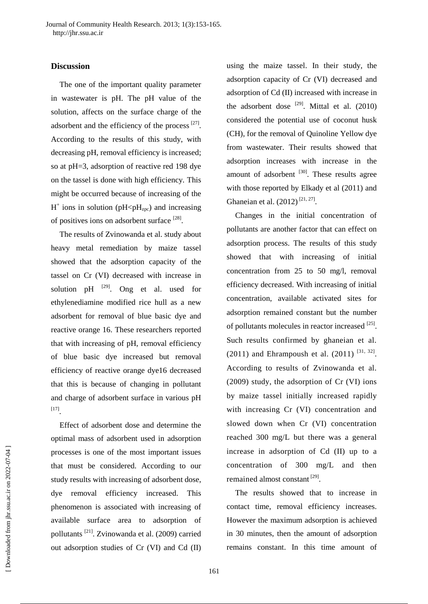## **Discussion**

The one of the important quality parameter in wastewater is pH. The pH value of the solution, affects on the surface charge of the adsorbent and the efficiency of the process  $[27]$ . According to the results of this study, with decreasing pH, removal efficiency is increased; so at pH=3, adsorption of reactive red 198 dye on the tassel is done with high efficiency. This might be occurred because of increasing of the  $H^+$  ions in solution (pH<p $H_{\text{zpc}}$ ) and increasing of positives ions on adsorbent surface [28].

The results of Zvinowanda et al. study about heavy metal remediation by maize tassel showed that the adsorption capacity of the tassel on Cr (VI) decreased with increase in solution pH  $^{[29]}$ . Ong et al. used for ethylenediamine modified rice hull as a new adsorbent for removal of blue basic dye and reactive orange 16. These researchers reported that with increasing of pH, removal efficiency of blue basic dye increased but removal efficiency of reactive orange dye16 decreased that this is because of changing in pollutant and charge of adsorbent surface in various pH [17] .

Effect of adsorbent dose and determine the optimal mass of adsorbent used in adsorption processes is one of the most important issues that must be considered. According to our study results with increasing of adsorbent dose, dye removal efficiency increased. This phenomenon is associated with increasing of available surface area to adsorption of pollutants [21] . Zvinowanda et al. (2009) carried out adsorption studies of Cr (VI) and Cd (II)

using the maize tassel. In their study, the adsorption capacity of Cr (VI) decreased and adsorption of Cd (II) increased with increase in the adsorbent dose  $[29]$ . Mittal et al. (2010) considered the potential use of coconut husk (CH), for the removal of Quinoline Yellow dye from wastewater. Their results showed that adsorption increases with increase in the amount of adsorbent  $[30]$ . These results agree with those reported by Elkady et al (2011) and Ghaneian et al.  $(2012)^{[21, 27]}$ .

Changes in the initial concentration of pollutants are another factor that can effect on adsorption process. The results of this study showed that with increasing of initial concentration from 25 to 50 mg/l, removal efficiency decreased. With increasing of initial concentration, available activated sites for adsorption remained constant but the number of pollutants molecules in reactor increased [25]. Such results confirmed by ghaneian et al. (2011) and Ehrampoush et al.  $(2011)^{[31, 32]}$ . According to results of Zvinowanda et al. (2009) study, the adsorption of Cr (VI) ions by maize tassel initially increased rapidly with increasing Cr (VI) concentration and slowed down when Cr (VI) concentration reached 300 mg/L but there was a general increase in adsorption of Cd (II) up to a concentration of 300 mg/L and then remained almost constant<sup>[29]</sup>.

The results showed that to increase in contact time, removal efficiency increases. However the maximum adsorption is achieved in 30 minutes, then the amount of adsorption remains constant. In this time amount of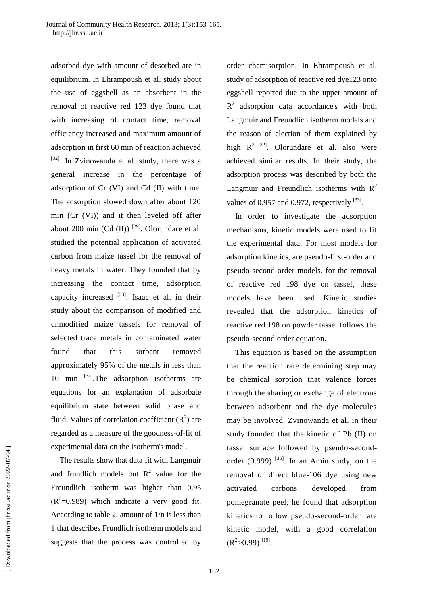adsorbed dye with amount of desorbed are in equilibrium. In Ehrampoush et al. study about the use of eggshell as an absorbent in the removal of reactive red 123 dye found that with increasing of contact time, removal efficiency increased and maximum amount of adsorption in first 60 min of reaction achieved [32]. In Zvinowanda et al. study, there was a general increase in the percentage of adsorption of Cr (VI) and Cd (II) with time. The adsorption slowed down after about 120 min (Cr (VI)) and it then leveled off after about 200 min  $(Cd (II))$ <sup>[29]</sup>. Olorundare et al. studied the potential application of activated carbon from maize tassel for the removal of heavy metals in water. They founded that by increasing the contact time, adsorption capacity increased <sup>[33]</sup>. Isaac et al. in their study about the comparison of modified and unmodified maize tassels for removal of selected trace metals in contaminated water found that this sorbent removed approximately 95% of the metals in less than 10 min  $^{[34]}$ . The adsorption isotherms are equations for an explanation of adsorbate equilibrium state between solid phase and fluid. Values of correlation coefficient  $(R^2)$  are regarded as a measure of the goodness-of-fit of experimental data on the isotherm's model.

The results show that data fit with Langmuir and frundlich models but  $R^2$  value for the Freundlich isotherm was higher than 0.95  $(R^2=0.989)$  which indicate a very good fit. According to table 2, amount of 1/n is less than 1 that describes Frundlich isotherm models and suggests that the process was controlled by

order chemisorption. In Ehrampoush et al. study of adsorption of reactive red dye123 onto eggshell reported due to the upper amount of  $R<sup>2</sup>$  adsorption data accordance's with both Langmuir and Freundlich isotherm models and the reason of election of them explained by high  $R^2$  <sup>[32]</sup>. Olorundare et al. also were achieved similar results. In their study, the adsorption process was described by both the Langmuir and Freundlich isotherms with  $R^2$ values of 0.957 and 0.972, respectively  $^{[33]}$ .

In order to investigate the adsorption mechanisms, kinetic models were used to fit the experimental data. For most models for adsorption kinetics, are pseudo-first-order and pseudo-second-order models, for the removal of reactive red 198 dye on tassel, these models have been used. Kinetic studies revealed that the adsorption kinetics of reactive red 198 on powder tassel follows the pseudo-second order equation.

This equation is based on the assumption that the reaction rate determining step may be chemical sorption that valence forces through the sharing or exchange of electrons between adsorbent and the dye molecules may be involved. Zvinowanda et al. in their study founded that the kinetic of Pb (II) on tassel surface followed by pseudo-secondorder  $(0.999)$ <sup>[35]</sup>. In an Amin study, on the removal of direct blue-106 dye using new activated carbons developed from pomegranate peel, he found that adsorption kinetics to follow pseudo-second-order rate kinetic model, with a good correlation  $(R^2>0.99)$ <sup>[19]</sup>.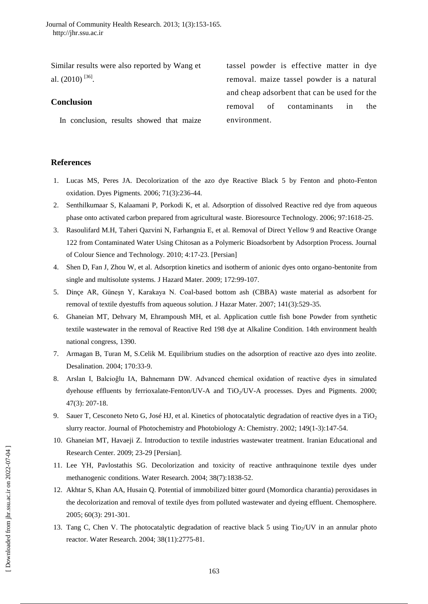Similar results were also reported by Wang et al.  $(2010)$ <sup>[36]</sup>.

## **Conclusion**

In conclusion, results showed that maize

tassel powder is effective matter in dye removal. maize tassel powder is a natural and cheap adsorbent that can be used for the removal of contaminants in the environment.

## **References**

- 1. Lucas MS, Peres JA. Decolorization of the azo dye Reactive Black 5 by Fenton and photo-Fenton oxidation. Dyes Pigments. 2006; 71(3):236-44.
- 2. Senthilkumaar S, Kalaamani P, Porkodi K, et al. Adsorption of dissolved Reactive red dye from aqueous phase onto activated carbon prepared from agricultural waste. Bioresource Technology. 2006; 97:1618-25.
- 3. Rasoulifard M.H, Taheri Qazvini N, Farhangnia E, et al. Removal of Direct Yellow 9 and Reactive Orange 122 from Contaminated Water Using Chitosan as a Polymeric Bioadsorbent by Adsorption Process. Journal of Colour Sience and Technology. 2010; 4:17-23. [Persian]
- 4. Shen D, Fan J, Zhou W, et al. Adsorption kinetics and isotherm of anionic dyes onto organo-bentonite from single and multisolute systems. J Hazard Mater. 2009; 172:99-107.
- 5. Dinçe AR, Güneşn Y, Karakaya N. Coal-based bottom ash (CBBA) waste material as adsorbent for removal of textile dyestuffs from aqueous solution. J Hazar Mater. 2007; 141(3):529-35.
- 6. Ghaneian MT, Dehvary M, Ehrampoush MH, et al. Application cuttle fish bone Powder from synthetic textile wastewater in the removal of Reactive Red 198 dye at Alkaline Condition. 14th environment health national congress, 1390.
- 7. Armagan B, Turan M, S.Celik M. Equilibrium studies on the adsorption of reactive azo dyes into zeolite. Desalination. 2004; 170:33-9.
- 8. Arslan I, Balcioğlu IA, Bahnemann DW. Advanced chemical oxidation of reactive dyes in simulated dyehouse effluents by ferrioxalate-Fenton/UV-A and TiO<sub>2</sub>/UV-A processes. Dyes and Pigments. 2000; 47(3): 207-18.
- 9. Sauer T, Cesconeto Neto G, José HJ, et al. Kinetics of photocatalytic degradation of reactive dyes in a TiO<sub>2</sub> slurry reactor. Journal of Photochemistry and Photobiology A: Chemistry. 2002; 149(1-3):147-54.
- 10. Ghaneian MT, Havaeji Z. Introduction to textile industries wastewater treatment. Iranian Educational and Research Center. 2009; 23-29 [Persian].
- 11. Lee YH, Pavlostathis SG. Decolorization and toxicity of reactive anthraquinone textile dyes under methanogenic conditions. Water Research. 2004; 38(7):1838-52.
- 12. Akhtar S, Khan AA, Husain Q. Potential of immobilized bitter gourd (Momordica charantia) peroxidases in the decolorization and removal of textile dyes from polluted wastewater and dyeing effluent. Chemosphere. 2005; 60(3): 291-301.
- 13. Tang C, Chen V. The photocatalytic degradation of reactive black 5 using  $Tio<sub>2</sub>/UV$  in an annular photo reactor. Water Research. 2004; 38(11):2775-81.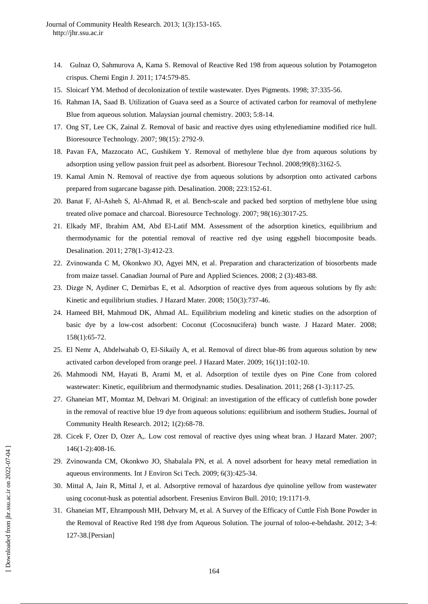- 14. Gulnaz O, Sahmurova A, Kama S. Removal of Reactive Red 198 from aqueous solution by Potamogeton crispus. Chemi Engin J. 2011; 174:579-85.
- 15. Sloicarf YM. Method of decolonization of textile wastewater. Dyes Pigments. 1998; 37:335-56.
- 16. Rahman IA, Saad B. Utilization of Guava seed as a Source of activated carbon for reamoval of methylene Blue from aqueous solution. Malaysian journal chemistry. 2003; 5:8-14.
- 17. Ong ST, Lee CK, Zainal Z. Removal of basic and reactive dyes using ethylenediamine modified rice hull. Bioresource Technology. 2007; 98(15): 2792-9.
- 18. [Pavan FA,](http://www.ncbi.nlm.nih.gov/pubmed?term=Pavan%20FA%5BAuthor%5D&cauthor=true&cauthor_uid=17692516) [Mazzocato AC,](http://www.ncbi.nlm.nih.gov/pubmed?term=Mazzocato%20AC%5BAuthor%5D&cauthor=true&cauthor_uid=17692516) [Gushikem Y.](http://www.ncbi.nlm.nih.gov/pubmed?term=Gushikem%20Y%5BAuthor%5D&cauthor=true&cauthor_uid=17692516) Removal of methylene blue dye from aqueous solutions by adsorption using yellow passion fruit peel as adsorbent. [Bioresour Technol.](http://www.ncbi.nlm.nih.gov/pubmed/17692516) 2008;99(8):3162-5.
- 19. Kamal Amin N. Removal of reactive dye from aqueous solutions by adsorption onto activated carbons prepared from sugarcane bagasse pith. Desalination. 2008; 223:152-61.
- 20. Banat F, Al-Asheh S, Al-Ahmad R, et al. Bench-scale and packed bed sorption of methylene blue using treated olive pomace and charcoal. Bioresource Technology. 2007; 98(16):3017-25.
- 21. Elkady MF, Ibrahim AM, Abd El-Latif MM. Assessment of the adsorption kinetics, equilibrium and thermodynamic for the potential removal of reactive red dye using eggshell biocomposite beads. Desalination. 2011; 278(1-3):412-23.
- 22. Zvinowanda C M, Okonkwo JO, Agyei MN, et al. Preparation and characterization of biosorbents made from maize tassel. Canadian Journal of Pure and Applied Sciences. 2008; 2 (3):483-88.
- 23. Dizge N, Aydiner C, Demirbas E, et al. Adsorption of reactive dyes from aqueous solutions by fly ash: Kinetic and equilibrium studies. J Hazard Mater. 2008; 150(3):737-46.
- 24. Hameed BH, Mahmoud DK, Ahmad AL. Equilibrium modeling and kinetic studies on the adsorption of basic dye by a low-cost adsorbent: Coconut (Cocosnucifera) bunch waste. J Hazard Mater. 2008; 158(1):65-72.
- 25. El Nemr A, Abdelwahab O, El-Sikaily A, et al. Removal of direct blue-86 from aqueous solution by new activated carbon developed from orange peel. J Hazard Mater. 2009; 16(1)1:102-10.
- 26. Mahmoodi NM, Hayati B, Arami M, et al. Adsorption of textile dyes on Pine Cone from colored wastewater: Kinetic, equilibrium and thermodynamic studies. Desalination. 2011; 268 (1-3):117-25.
- 27. Ghaneian MT, Momtaz M, Dehvari M. Original: an investigation of the efficacy of cuttlefish bone powder in the removal of reactive blue 19 dye from aqueous solutions: equilibrium and isotherm Studies**.** Journal of Community Health Research. 2012; 1(2):68-78.
- 28. Cicek F, Ozer D, Ozer A,. Low cost removal of reactive dyes using wheat bran. J Hazard Mater. 2007; 146(1-2):408-16.
- 29. Zvinowanda CM, Okonkwo JO, Shabalala PN, et al. A novel adsorbent for heavy metal remediation in aqueous environments. Int J Environ Sci Tech. 2009; 6(3):425-34.
- 30. Mittal A, Jain R, Mittal J, et al. Adsorptive removal of hazardous dye quinoline yellow from wastewater using coconut-husk as potential adsorbent. Fresenius Environ Bull. 2010; 19:1171-9.
- 31. Ghaneian MT, Ehrampoush MH, Dehvary M, et al. A Survey of the Efficacy of Cuttle Fish Bone Powder in the Removal of Reactive Red 198 dye from Aqueous Solution. The journal of toloo-e-behdasht. 2012; 3-4: 127-38.[Persian]